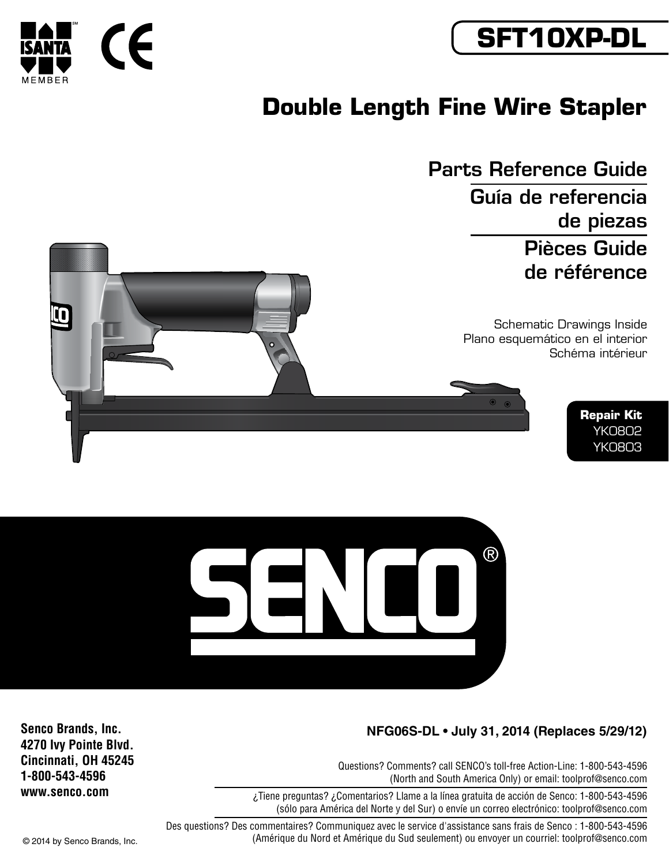

# **SFT10XP-DL**

## **Double Length Fine Wire Stapler**

Parts Reference Guide Guía de referencia de piezas Pièces Guide de référence

> Schematic Drawings Inside Plano esquemático en el interior Schéma intérieur







#### **NFG06S-DL • July 31, 2014 (Replaces 5/29/12)**

Questions? Comments? call SENCO's toll-free Action-Line: 1-800-543-4596 (North and South America Only) or email: toolprof@senco.com

¿Tiene preguntas? ¿Comentarios? Llame a la línea gratuita de acción de Senco: 1-800-543-4596 (sólo para América del Norte y del Sur) o envíe un correo electrónico: toolprof@senco.com

Des questions? Des commentaires? Communiquez avec le service d'assistance sans frais de Senco : 1-800-543-4596 © 2014 by Senco Brands, Inc. (Amérique du Nord et Amérique du Sud seulement) ou envoyer un courriel: toolprof@senco.com

**Senco Brands, Inc. 4270 Ivy Pointe Blvd. Cincinnati, OH 45245 1-800-543-4596 www.senco.com**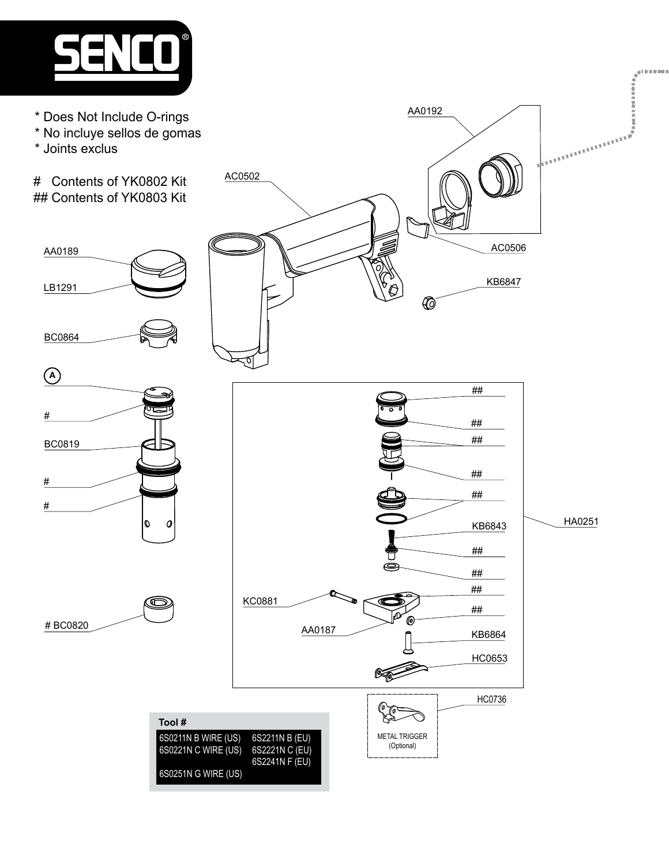

- \* Does Not Include O-rings
- \* No incluye sellos de gomas
- \* Joints exclus

**A**

#

#

#

# Contents of YK0802 Kit ## Contents of YK0803 Kit



AA0192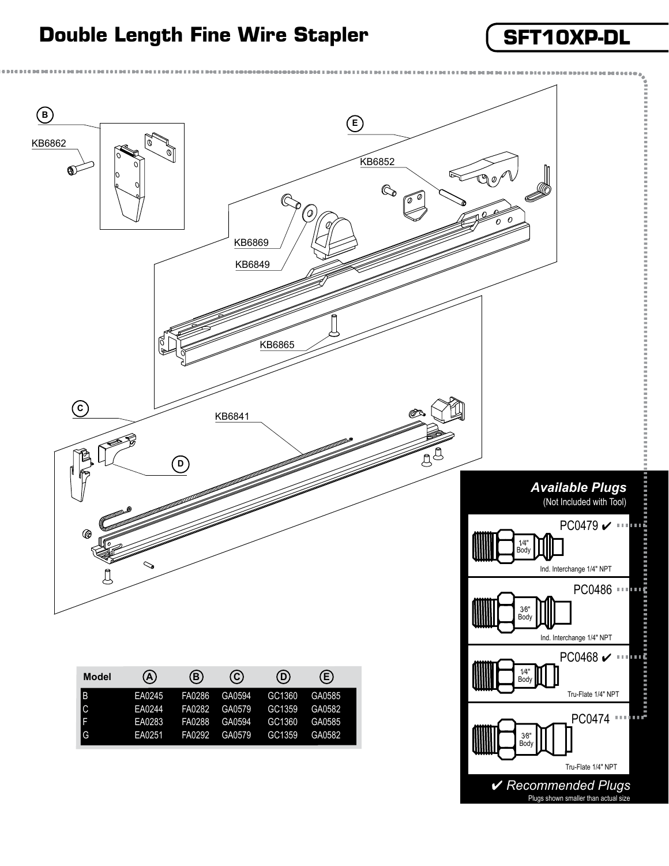### **Double Length Fine Wire Stapler SFT10XP-DL**